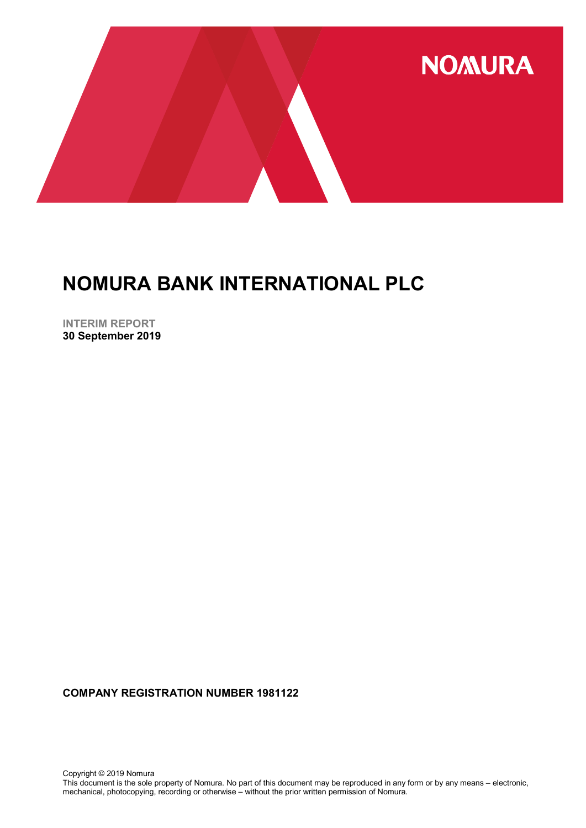

INTERIM REPORT 30 September 2019

COMPANY REGISTRATION NUMBER 1981122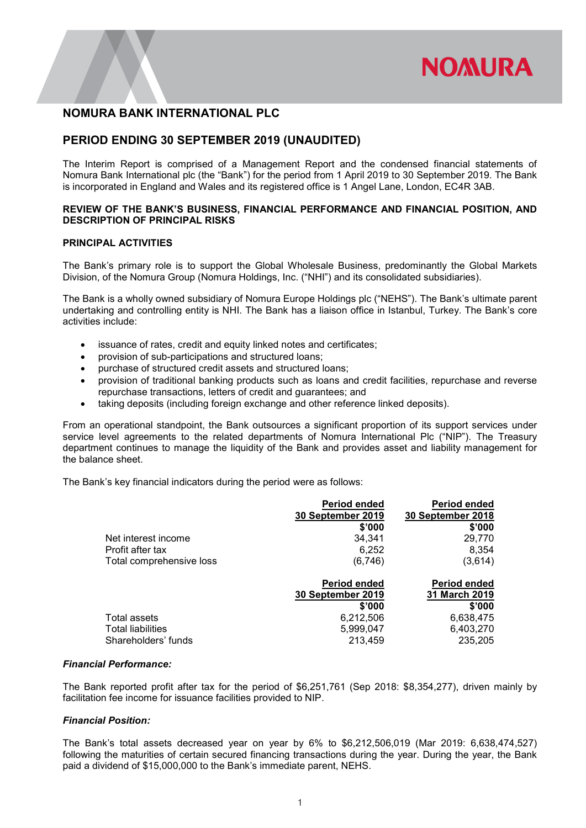# **NOMURA**

## NOMURA BANK INTERNATIONAL PLC

## PERIOD ENDING 30 SEPTEMBER 2019 (UNAUDITED)

The Interim Report is comprised of a Management Report and the condensed financial statements of Nomura Bank International plc (the "Bank") for the period from 1 April 2019 to 30 September 2019. The Bank is incorporated in England and Wales and its registered office is 1 Angel Lane, London, EC4R 3AB.

#### REVIEW OF THE BANK'S BUSINESS, FINANCIAL PERFORMANCE AND FINANCIAL POSITION, AND DESCRIPTION OF PRINCIPAL RISKS

#### PRINCIPAL ACTIVITIES

The Bank's primary role is to support the Global Wholesale Business, predominantly the Global Markets Division, of the Nomura Group (Nomura Holdings, Inc. ("NHI") and its consolidated subsidiaries).

The Bank is a wholly owned subsidiary of Nomura Europe Holdings plc ("NEHS"). The Bank's ultimate parent undertaking and controlling entity is NHI. The Bank has a liaison office in Istanbul, Turkey. The Bank's core activities include:

- issuance of rates, credit and equity linked notes and certificates;
- provision of sub-participations and structured loans;
- purchase of structured credit assets and structured loans;
- provision of traditional banking products such as loans and credit facilities, repurchase and reverse repurchase transactions, letters of credit and guarantees; and
- taking deposits (including foreign exchange and other reference linked deposits).

From an operational standpoint, the Bank outsources a significant proportion of its support services under service level agreements to the related departments of Nomura International Plc ("NIP"). The Treasury department continues to manage the liquidity of the Bank and provides asset and liability management for the balance sheet.

The Bank's key financial indicators during the period were as follows:

|                          | Period ended      | <b>Period ended</b> |
|--------------------------|-------------------|---------------------|
|                          | 30 September 2019 | 30 September 2018   |
|                          | \$'000            | \$'000              |
| Net interest income      | 34.341            | 29,770              |
| Profit after tax         | 6,252             | 8,354               |
| Total comprehensive loss | (6, 746)          | (3,614)             |
|                          |                   |                     |
|                          |                   |                     |
|                          | Period ended      | <b>Period ended</b> |
|                          | 30 September 2019 | 31 March 2019       |
|                          | \$'000            | \$'000              |
| Total assets             | 6,212,506         | 6,638,475           |
| <b>Total liabilities</b> | 5,999,047         | 6,403,270           |

#### Financial Performance:

The Bank reported profit after tax for the period of \$6,251,761 (Sep 2018: \$8,354,277), driven mainly by facilitation fee income for issuance facilities provided to NIP.

#### Financial Position:

The Bank's total assets decreased year on year by 6% to \$6,212,506,019 (Mar 2019: 6,638,474,527) following the maturities of certain secured financing transactions during the year. During the year, the Bank paid a dividend of \$15,000,000 to the Bank's immediate parent, NEHS.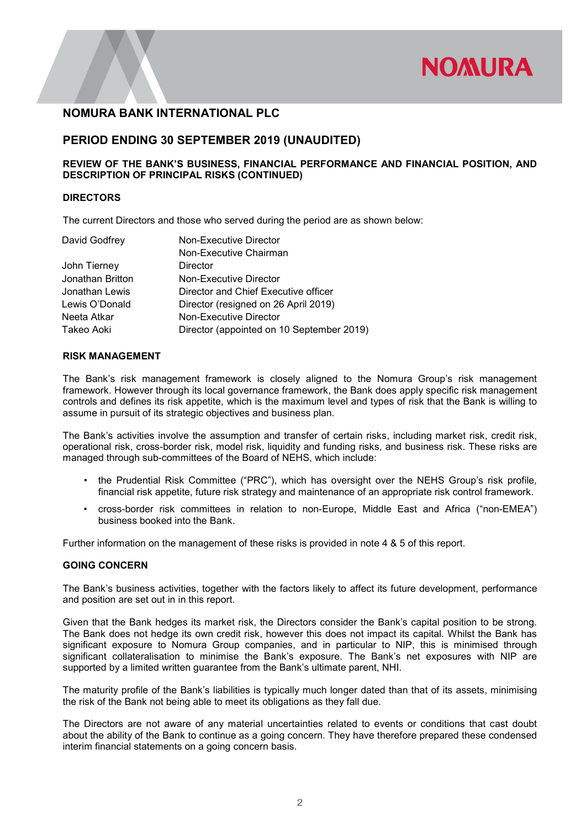

# PERIOD ENDING 30 SEPTEMBER 2019 (UNAUDITED)

#### REVIEW OF THE BANK'S BUSINESS, FINANCIAL PERFORMANCE AND FINANCIAL POSITION, AND DESCRIPTION OF PRINCIPAL RISKS (CONTINUED)

#### DIRECTORS

The current Directors and those who served during the period are as shown below:

| David Godfrey    | Non-Executive Director                    |
|------------------|-------------------------------------------|
|                  | Non-Executive Chairman                    |
| John Tierney     | Director                                  |
| Jonathan Britton | Non-Executive Director                    |
| Jonathan Lewis   | Director and Chief Executive officer      |
| Lewis O'Donald   | Director (resigned on 26 April 2019)      |
| Neeta Atkar      | Non-Executive Director                    |
| Takeo Aoki       | Director (appointed on 10 September 2019) |

#### RISK MANAGEMENT

The Bank's risk management framework is closely aligned to the Nomura Group's risk management framework. However through its local governance framework, the Bank does apply specific risk management controls and defines its risk appetite, which is the maximum level and types of risk that the Bank is willing to assume in pursuit of its strategic objectives and business plan.

The Bank's activities involve the assumption and transfer of certain risks, including market risk, credit risk, operational risk, cross-border risk, model risk, liquidity and funding risks, and business risk. These risks are managed through sub-committees of the Board of NEHS, which include:

- the Prudential Risk Committee ("PRC"), which has oversight over the NEHS Group's risk profile, financial risk appetite, future risk strategy and maintenance of an appropriate risk control framework.
- cross-border risk committees in relation to non-Europe, Middle East and Africa ("non-EMEA") business booked into the Bank.

Further information on the management of these risks is provided in note 4 & 5 of this report.

#### GOING CONCERN

The Bank's business activities, together with the factors likely to affect its future development, performance and position are set out in in this report.

Given that the Bank hedges its market risk, the Directors consider the Bank's capital position to be strong. The Bank does not hedge its own credit risk, however this does not impact its capital. Whilst the Bank has significant exposure to Nomura Group companies, and in particular to NIP, this is minimised through significant collateralisation to minimise the Bank's exposure. The Bank's net exposures with NIP are supported by a limited written guarantee from the Bank's ultimate parent, NHI.

The maturity profile of the Bank's liabilities is typically much longer dated than that of its assets, minimising the risk of the Bank not being able to meet its obligations as they fall due.

The Directors are not aware of any material uncertainties related to events or conditions that cast doubt about the ability of the Bank to continue as a going concern. They have therefore prepared these condensed interim financial statements on a going concern basis.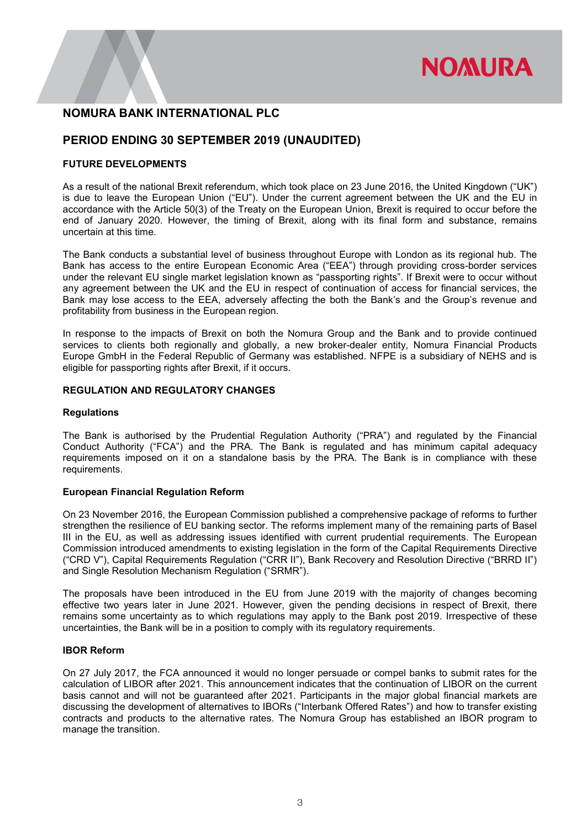# **NOMURA**

## NOMURA BANK INTERNATIONAL PLC

# PERIOD ENDING 30 SEPTEMBER 2019 (UNAUDITED)

#### FUTURE DEVELOPMENTS

As a result of the national Brexit referendum, which took place on 23 June 2016, the United Kingdown ("UK") is due to leave the European Union ("EU"). Under the current agreement between the UK and the EU in accordance with the Article 50(3) of the Treaty on the European Union, Brexit is required to occur before the end of January 2020. However, the timing of Brexit, along with its final form and substance, remains uncertain at this time.

The Bank conducts a substantial level of business throughout Europe with London as its regional hub. The Bank has access to the entire European Economic Area ("EEA") through providing cross-border services under the relevant EU single market legislation known as "passporting rights". If Brexit were to occur without any agreement between the UK and the EU in respect of continuation of access for financial services, the Bank may lose access to the EEA, adversely affecting the both the Bank's and the Group's revenue and profitability from business in the European region.

In response to the impacts of Brexit on both the Nomura Group and the Bank and to provide continued services to clients both regionally and globally, a new broker-dealer entity, Nomura Financial Products Europe GmbH in the Federal Republic of Germany was established. NFPE is a subsidiary of NEHS and is eligible for passporting rights after Brexit, if it occurs.

#### REGULATION AND REGULATORY CHANGES

#### **Regulations**

The Bank is authorised by the Prudential Regulation Authority ("PRA") and regulated by the Financial Conduct Authority ("FCA") and the PRA. The Bank is regulated and has minimum capital adequacy requirements imposed on it on a standalone basis by the PRA. The Bank is in compliance with these requirements.

#### European Financial Regulation Reform

On 23 November 2016, the European Commission published a comprehensive package of reforms to further strengthen the resilience of EU banking sector. The reforms implement many of the remaining parts of Basel III in the EU, as well as addressing issues identified with current prudential requirements. The European Commission introduced amendments to existing legislation in the form of the Capital Requirements Directive ("CRD V"), Capital Requirements Regulation ("CRR II"), Bank Recovery and Resolution Directive ("BRRD II") and Single Resolution Mechanism Regulation ("SRMR").

The proposals have been introduced in the EU from June 2019 with the majority of changes becoming effective two years later in June 2021. However, given the pending decisions in respect of Brexit, there remains some uncertainty as to which regulations may apply to the Bank post 2019. Irrespective of these uncertainties, the Bank will be in a position to comply with its regulatory requirements.

#### IBOR Reform

On 27 July 2017, the FCA announced it would no longer persuade or compel banks to submit rates for the calculation of LIBOR after 2021. This announcement indicates that the continuation of LIBOR on the current basis cannot and will not be guaranteed after 2021. Participants in the major global financial markets are discussing the development of alternatives to IBORs ("Interbank Offered Rates") and how to transfer existing contracts and products to the alternative rates. The Nomura Group has established an IBOR program to manage the transition.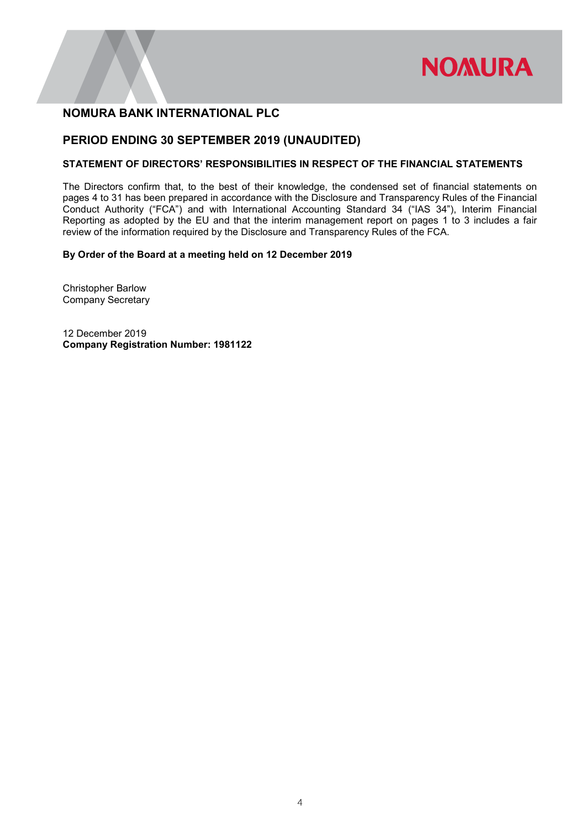

## PERIOD ENDING 30 SEPTEMBER 2019 (UNAUDITED)

#### STATEMENT OF DIRECTORS' RESPONSIBILITIES IN RESPECT OF THE FINANCIAL STATEMENTS

The Directors confirm that, to the best of their knowledge, the condensed set of financial statements on pages 4 to 31 has been prepared in accordance with the Disclosure and Transparency Rules of the Financial Conduct Authority ("FCA") and with International Accounting Standard 34 ("IAS 34"), Interim Financial Reporting as adopted by the EU and that the interim management report on pages 1 to 3 includes a fair review of the information required by the Disclosure and Transparency Rules of the FCA.

#### By Order of the Board at a meeting held on 12 December 2019

Christopher Barlow Company Secretary

12 December 2019 Company Registration Number: 1981122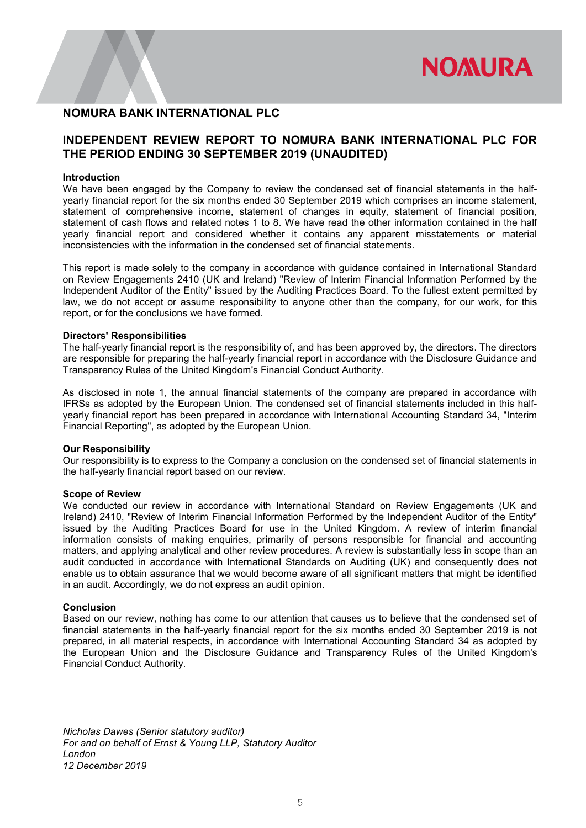

#### INDEPENDENT REVIEW REPORT TO NOMURA BANK INTERNATIONAL PLC FOR THE PERIOD ENDING 30 SEPTEMBER 2019 (UNAUDITED)

#### Introduction

We have been engaged by the Company to review the condensed set of financial statements in the halfyearly financial report for the six months ended 30 September 2019 which comprises an income statement, statement of comprehensive income, statement of changes in equity, statement of financial position, statement of cash flows and related notes 1 to 8. We have read the other information contained in the half yearly financial report and considered whether it contains any apparent misstatements or material inconsistencies with the information in the condensed set of financial statements.

This report is made solely to the company in accordance with guidance contained in International Standard on Review Engagements 2410 (UK and Ireland) "Review of Interim Financial Information Performed by the Independent Auditor of the Entity" issued by the Auditing Practices Board. To the fullest extent permitted by law, we do not accept or assume responsibility to anyone other than the company, for our work, for this report, or for the conclusions we have formed.

#### Directors' Responsibilities

The half-yearly financial report is the responsibility of, and has been approved by, the directors. The directors are responsible for preparing the half-yearly financial report in accordance with the Disclosure Guidance and Transparency Rules of the United Kingdom's Financial Conduct Authority.

As disclosed in note 1, the annual financial statements of the company are prepared in accordance with IFRSs as adopted by the European Union. The condensed set of financial statements included in this halfyearly financial report has been prepared in accordance with International Accounting Standard 34, "Interim Financial Reporting", as adopted by the European Union.

#### Our Responsibility

Our responsibility is to express to the Company a conclusion on the condensed set of financial statements in the half-yearly financial report based on our review.

#### Scope of Review

We conducted our review in accordance with International Standard on Review Engagements (UK and Ireland) 2410, "Review of Interim Financial Information Performed by the Independent Auditor of the Entity" issued by the Auditing Practices Board for use in the United Kingdom. A review of interim financial information consists of making enquiries, primarily of persons responsible for financial and accounting matters, and applying analytical and other review procedures. A review is substantially less in scope than an audit conducted in accordance with International Standards on Auditing (UK) and consequently does not enable us to obtain assurance that we would become aware of all significant matters that might be identified in an audit. Accordingly, we do not express an audit opinion.

#### Conclusion

Based on our review, nothing has come to our attention that causes us to believe that the condensed set of financial statements in the half-yearly financial report for the six months ended 30 September 2019 is not prepared, in all material respects, in accordance with International Accounting Standard 34 as adopted by the European Union and the Disclosure Guidance and Transparency Rules of the United Kingdom's Financial Conduct Authority.

Nicholas Dawes (Senior statutory auditor) For and on behalf of Ernst & Young LLP, Statutory Auditor London 12 December 2019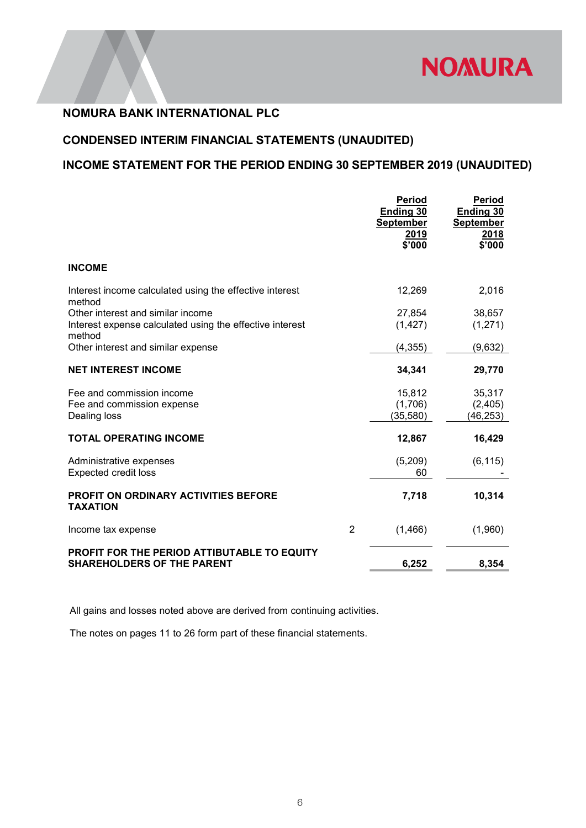

# CONDENSED INTERIM FINANCIAL STATEMENTS (UNAUDITED)

# INCOME STATEMENT FOR THE PERIOD ENDING 30 SEPTEMBER 2019 (UNAUDITED)

|                                                                    |                | <b>Period</b><br>Ending 30<br><b>September</b><br>2019<br>\$'000 | Period<br><b>Ending 30</b><br>September<br>2018<br>\$'000 |
|--------------------------------------------------------------------|----------------|------------------------------------------------------------------|-----------------------------------------------------------|
| <b>INCOME</b>                                                      |                |                                                                  |                                                           |
| Interest income calculated using the effective interest<br>method  |                | 12,269                                                           | 2,016                                                     |
| Other interest and similar income                                  |                | 27,854                                                           | 38,657                                                    |
| Interest expense calculated using the effective interest<br>method |                | (1, 427)                                                         | (1,271)                                                   |
| Other interest and similar expense                                 |                | (4, 355)                                                         | (9,632)                                                   |
| <b>NET INTEREST INCOME</b>                                         |                | 34,341                                                           | 29,770                                                    |
| Fee and commission income                                          |                | 15,812                                                           | 35,317                                                    |
| Fee and commission expense                                         |                | (1,706)                                                          | (2,405)                                                   |
| Dealing loss                                                       |                | (35, 580)                                                        | (46, 253)                                                 |
| <b>TOTAL OPERATING INCOME</b>                                      |                | 12,867                                                           | 16,429                                                    |
| Administrative expenses                                            |                | (5,209)                                                          | (6, 115)                                                  |
| <b>Expected credit loss</b>                                        |                | 60                                                               |                                                           |
| PROFIT ON ORDINARY ACTIVITIES BEFORE<br><b>TAXATION</b>            |                | 7,718                                                            | 10,314                                                    |
| Income tax expense                                                 | $\overline{2}$ | (1, 466)                                                         | (1,960)                                                   |
| PROFIT FOR THE PERIOD ATTIBUTABLE TO EQUITY                        |                |                                                                  |                                                           |
| <b>SHAREHOLDERS OF THE PARENT</b>                                  |                | 6,252                                                            | 8,354                                                     |

All gains and losses noted above are derived from continuing activities.

The notes on pages 11 to 26 form part of these financial statements.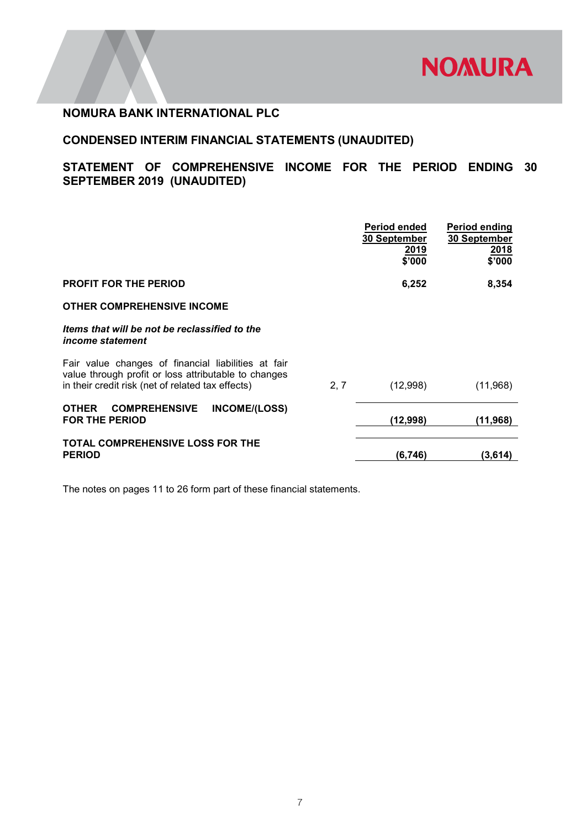

# CONDENSED INTERIM FINANCIAL STATEMENTS (UNAUDITED)

# STATEMENT OF COMPREHENSIVE INCOME FOR THE PERIOD ENDING 30 SEPTEMBER 2019 (UNAUDITED)

|                                                                                                                                                                  | Period ended<br>30 September<br>2019<br>\$'000 | <b>Period ending</b><br>30 September<br>2018<br>\$'000 |
|------------------------------------------------------------------------------------------------------------------------------------------------------------------|------------------------------------------------|--------------------------------------------------------|
| <b>PROFIT FOR THE PERIOD</b>                                                                                                                                     | 6,252                                          | 8,354                                                  |
| <b>OTHER COMPREHENSIVE INCOME</b>                                                                                                                                |                                                |                                                        |
| Items that will be not be reclassified to the<br><i>income statement</i>                                                                                         |                                                |                                                        |
| Fair value changes of financial liabilities at fair<br>value through profit or loss attributable to changes<br>in their credit risk (net of related tax effects) | 2, 7<br>(12,998)                               | (11,968)                                               |
| INCOME/(LOSS)<br><b>OTHER</b><br><b>COMPREHENSIVE</b><br><b>FOR THE PERIOD</b>                                                                                   | (12,998)                                       | (11,968)                                               |
| TOTAL COMPREHENSIVE LOSS FOR THE<br><b>PERIOD</b>                                                                                                                | (6,746)                                        | (3,614)                                                |

The notes on pages 11 to 26 form part of these financial statements.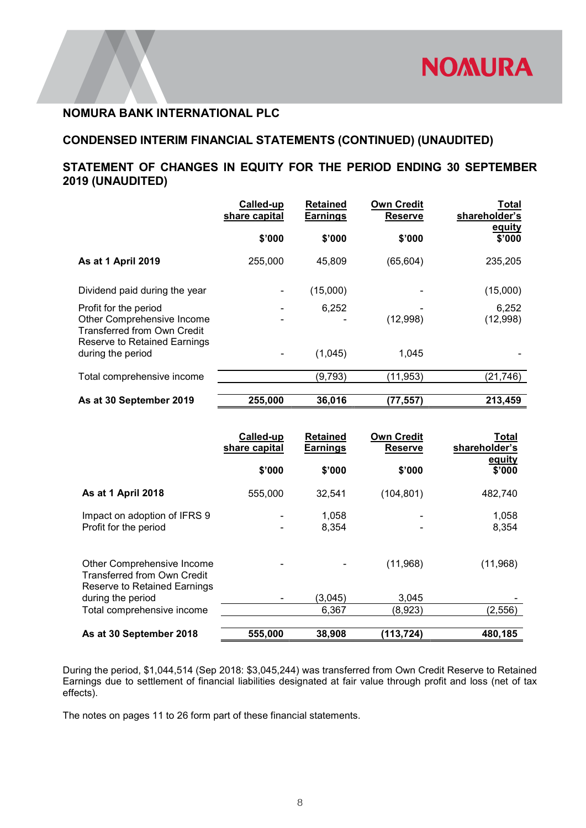# CONDENSED INTERIM FINANCIAL STATEMENTS (CONTINUED) (UNAUDITED)

# STATEMENT OF CHANGES IN EQUITY FOR THE PERIOD ENDING 30 SEPTEMBER 2019 (UNAUDITED)

|                                                                                                                    | Called-up<br>share capital | <b>Retained</b><br><b>Earnings</b> | <b>Own Credit</b><br><b>Reserve</b> | Total<br>shareholder's |
|--------------------------------------------------------------------------------------------------------------------|----------------------------|------------------------------------|-------------------------------------|------------------------|
|                                                                                                                    | \$'000                     | \$'000                             | \$'000                              | equity<br>\$'000       |
| As at 1 April 2019                                                                                                 | 255,000                    | 45,809                             | (65, 604)                           | 235,205                |
| Dividend paid during the year                                                                                      |                            | (15,000)                           |                                     | (15,000)               |
| Profit for the period<br>Other Comprehensive Income<br>Transferred from Own Credit<br>Reserve to Retained Earnings | ۰                          | 6,252                              | (12,998)                            | 6,252<br>(12,998)      |
| during the period                                                                                                  |                            | (1,045)                            | 1,045                               |                        |
| Total comprehensive income                                                                                         |                            | (9, 793)                           | (11, 953)                           | (21,746)               |
| As at 30 September 2019                                                                                            | 255,000                    | 36,016                             | (77,557)                            | 213,459                |

|                                                                                           | Called-up<br>share capital | Retained<br><b>Earnings</b> | <b>Own Credit</b><br><b>Reserve</b> | Total<br>shareholder's |
|-------------------------------------------------------------------------------------------|----------------------------|-----------------------------|-------------------------------------|------------------------|
|                                                                                           | \$'000                     | \$'000                      | \$'000                              | equity<br>\$'000       |
| As at 1 April 2018                                                                        | 555,000                    | 32,541                      | (104, 801)                          | 482,740                |
| Impact on adoption of IFRS 9<br>Profit for the period                                     |                            | 1,058<br>8,354              |                                     | 1,058<br>8,354         |
| Other Comprehensive Income<br>Transferred from Own Credit<br>Reserve to Retained Earnings |                            |                             | (11,968)                            | (11, 968)              |
| during the period                                                                         |                            | (3,045)                     | 3,045                               |                        |
| Total comprehensive income                                                                |                            | 6,367                       | (8,923)                             | (2, 556)               |
| As at 30 September 2018                                                                   | 555,000                    | 38,908                      | (113, 724)                          | 480,185                |

During the period, \$1,044,514 (Sep 2018: \$3,045,244) was transferred from Own Credit Reserve to Retained Earnings due to settlement of financial liabilities designated at fair value through profit and loss (net of tax effects).

The notes on pages 11 to 26 form part of these financial statements.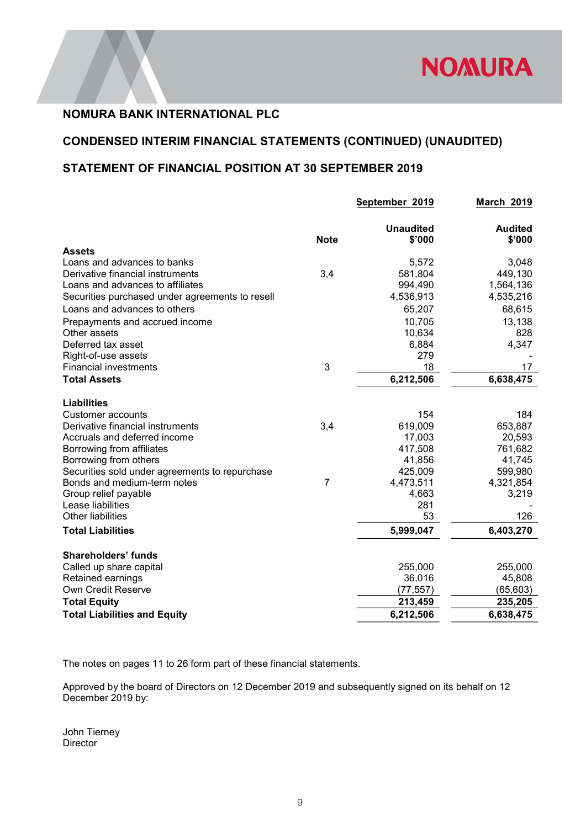

# CONDENSED INTERIM FINANCIAL STATEMENTS (CONTINUED) (UNAUDITED)

# STATEMENT OF FINANCIAL POSITION AT 30 SEPTEMBER 2019

|                                                 |                | September 2019             | <b>March 2019</b>        |
|-------------------------------------------------|----------------|----------------------------|--------------------------|
|                                                 | <b>Note</b>    | <b>Unaudited</b><br>\$'000 | <b>Audited</b><br>\$'000 |
| <b>Assets</b><br>Loans and advances to banks    |                |                            |                          |
| Derivative financial instruments                | 3,4            | 5,572<br>581,804           | 3,048<br>449,130         |
| Loans and advances to affiliates                |                | 994,490                    | 1,564,136                |
| Securities purchased under agreements to resell |                | 4,536,913                  | 4,535,216                |
| Loans and advances to others                    |                | 65,207                     | 68,615                   |
| Prepayments and accrued income                  |                | 10,705                     | 13,138                   |
| Other assets                                    |                | 10,634                     | 828                      |
| Deferred tax asset                              |                | 6,884                      | 4,347                    |
| Right-of-use assets                             |                | 279                        |                          |
| <b>Financial investments</b>                    | 3              | 18                         | 17                       |
| <b>Total Assets</b>                             |                | 6,212,506                  | 6,638,475                |
| <b>Liabilities</b><br><b>Customer accounts</b>  |                | 154                        | 184                      |
| Derivative financial instruments                | 3,4            | 619,009                    | 653,887                  |
| Accruals and deferred income                    |                | 17,003                     | 20,593                   |
| Borrowing from affiliates                       |                | 417,508                    | 761,682                  |
| Borrowing from others                           |                | 41,856                     | 41,745                   |
| Securities sold under agreements to repurchase  |                | 425,009                    | 599,980                  |
| Bonds and medium-term notes                     | $\overline{7}$ | 4,473,511                  | 4,321,854                |
| Group relief payable                            |                | 4,663                      | 3,219                    |
| Lease liabilities                               |                | 281                        |                          |
| <b>Other liabilities</b>                        |                | 53                         | 126                      |
| <b>Total Liabilities</b>                        |                | 5,999,047                  | 6,403,270                |
| <b>Shareholders' funds</b>                      |                |                            |                          |
| Called up share capital                         |                | 255,000                    | 255,000                  |
| Retained earnings                               |                | 36,016                     | 45,808                   |
| Own Credit Reserve                              |                | (77, 557)                  | (65, 603)                |
| <b>Total Equity</b>                             |                | 213,459                    | 235,205                  |
| <b>Total Liabilities and Equity</b>             |                | 6,212,506                  | 6,638,475                |

The notes on pages 11 to 26 form part of these financial statements.

Approved by the board of Directors on 12 December 2019 and subsequently signed on its behalf on 12 December 2019 by:

John Tierney **Director**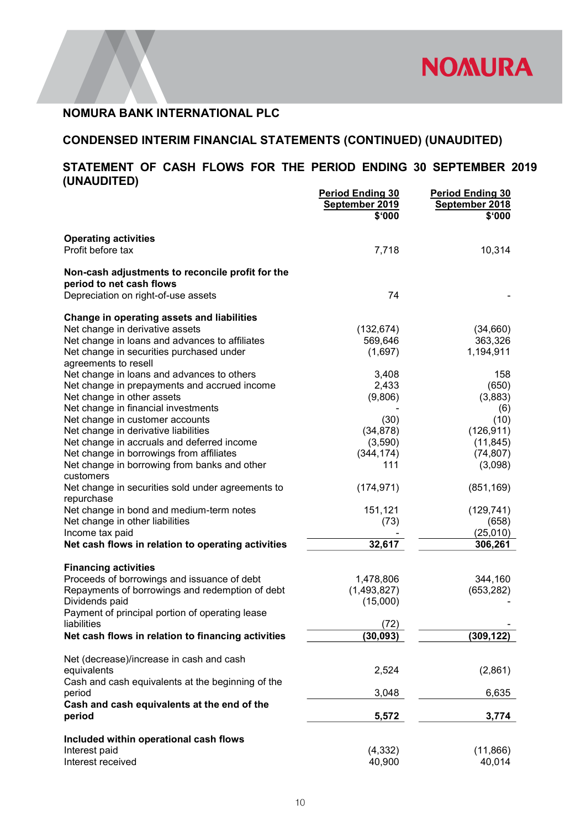# CONDENSED INTERIM FINANCIAL STATEMENTS (CONTINUED) (UNAUDITED)

#### STATEMENT OF CASH FLOWS FOR THE PERIOD ENDING 30 SEPTEMBER 2019 (UNAUDITED) Period Ending 30 Period Ending 30

|                                                                              | Period Ending 30<br>September 2019 | <b>Period Ending 30</b><br>September 2018 |
|------------------------------------------------------------------------------|------------------------------------|-------------------------------------------|
|                                                                              | \$'000                             | \$'000                                    |
| <b>Operating activities</b>                                                  |                                    |                                           |
| Profit before tax                                                            | 7,718                              | 10,314                                    |
| Non-cash adjustments to reconcile profit for the<br>period to net cash flows |                                    |                                           |
| Depreciation on right-of-use assets                                          | 74                                 |                                           |
| Change in operating assets and liabilities                                   |                                    |                                           |
| Net change in derivative assets                                              | (132, 674)                         | (34,660)                                  |
| Net change in loans and advances to affiliates                               | 569,646                            | 363,326                                   |
| Net change in securities purchased under<br>agreements to resell             | (1,697)                            | 1,194,911                                 |
| Net change in loans and advances to others                                   | 3,408                              | 158                                       |
| Net change in prepayments and accrued income                                 | 2,433                              | (650)                                     |
| Net change in other assets                                                   | (9,806)                            | (3,883)                                   |
| Net change in financial investments                                          |                                    | (6)                                       |
| Net change in customer accounts                                              | (30)                               | (10)                                      |
| Net change in derivative liabilities                                         | (34, 878)                          | (126, 911)                                |
| Net change in accruals and deferred income                                   | (3,590)                            | (11, 845)                                 |
| Net change in borrowings from affiliates                                     | (344, 174)                         | (74, 807)                                 |
| Net change in borrowing from banks and other<br>customers                    | 111                                | (3,098)                                   |
| Net change in securities sold under agreements to                            | (174, 971)                         | (851, 169)                                |
| repurchase                                                                   |                                    |                                           |
| Net change in bond and medium-term notes                                     | 151,121                            | (129, 741)                                |
| Net change in other liabilities                                              | (73)                               | (658)                                     |
| Income tax paid                                                              |                                    | (25,010)                                  |
| Net cash flows in relation to operating activities                           | 32,617                             | 306,261                                   |
| <b>Financing activities</b>                                                  |                                    |                                           |
| Proceeds of borrowings and issuance of debt                                  | 1,478,806                          | 344,160                                   |
| Repayments of borrowings and redemption of debt                              | (1,493,827)                        | (653, 282)                                |
| Dividends paid                                                               | (15,000)                           |                                           |
| Payment of principal portion of operating lease<br>liabilities               | 72)                                |                                           |
| Net cash flows in relation to financing activities                           | (30,093)                           | (309, 122)                                |
|                                                                              |                                    |                                           |
| Net (decrease)/increase in cash and cash                                     |                                    |                                           |
| equivalents                                                                  | 2,524                              | (2,861)                                   |
| Cash and cash equivalents at the beginning of the                            |                                    |                                           |
| period                                                                       | 3,048                              | 6,635                                     |
| Cash and cash equivalents at the end of the                                  |                                    |                                           |
| period                                                                       | 5,572                              | 3,774                                     |
| Included within operational cash flows                                       |                                    |                                           |
| Interest paid                                                                | (4, 332)                           | (11, 866)                                 |
| Interest received                                                            | 40,900                             | 40,014                                    |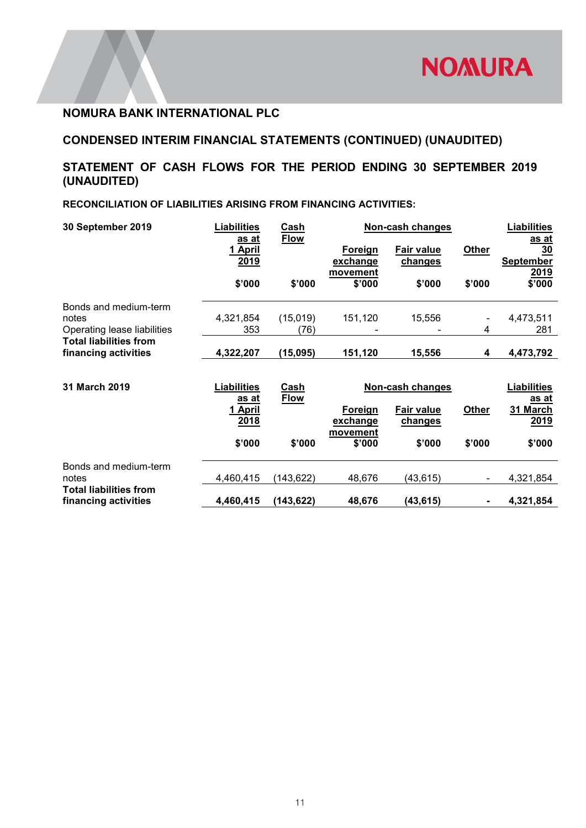# CONDENSED INTERIM FINANCIAL STATEMENTS (CONTINUED) (UNAUDITED)

# STATEMENT OF CASH FLOWS FOR THE PERIOD ENDING 30 SEPTEMBER 2019 (UNAUDITED)

RECONCILIATION OF LIABILITIES ARISING FROM FINANCING ACTIVITIES:

| 30 September 2019             | <b>Liabilities</b>              | <b>Cash</b><br>Non-cash changes |                                        |                              |                | <b>Liabilities</b>                             |  |
|-------------------------------|---------------------------------|---------------------------------|----------------------------------------|------------------------------|----------------|------------------------------------------------|--|
|                               | <u>as at</u><br>1 April<br>2019 | <b>Flow</b>                     | <b>Foreign</b><br>exchange<br>movement | <b>Fair value</b><br>changes | <b>Other</b>   | <u>as at</u><br>30<br><b>September</b><br>2019 |  |
|                               | \$'000                          | \$'000                          | \$'000                                 | \$'000                       | \$'000         | \$'000                                         |  |
| Bonds and medium-term         |                                 |                                 |                                        |                              |                |                                                |  |
| notes                         | 4,321,854                       | (15,019)                        | 151,120                                | 15,556                       |                | 4,473,511                                      |  |
| Operating lease liabilities   | 353                             | (76)                            |                                        |                              | 4              | 281                                            |  |
| <b>Total liabilities from</b> |                                 |                                 |                                        |                              |                |                                                |  |
| financing activities          | 4,322,207                       | (15,095)                        | 151,120                                | 15,556                       | 4              | 4,473,792                                      |  |
|                               |                                 |                                 |                                        |                              |                |                                                |  |
| 31 March 2019                 | <b>Liabilities</b>              | <b>Cash</b>                     |                                        | Non-cash changes             |                | <b>Liabilities</b>                             |  |
|                               | <u>as at</u><br>1 April         | <b>Flow</b>                     | <b>Foreign</b>                         | <b>Fair value</b>            | <b>Other</b>   | <u>as at</u><br>31 March                       |  |
|                               | 2018                            |                                 | exchange                               | changes                      |                | 2019                                           |  |
|                               |                                 |                                 | movement                               |                              |                |                                                |  |
|                               | \$'000                          | \$'000                          | \$'000                                 | \$'000                       | \$'000         | \$'000                                         |  |
| Bonds and medium-term         |                                 |                                 |                                        |                              |                |                                                |  |
| notes                         | 4,460,415                       | (143, 622)                      | 48,676                                 | (43, 615)                    | $\blacksquare$ | 4,321,854                                      |  |
| <b>Total liabilities from</b> |                                 |                                 |                                        |                              |                |                                                |  |
| financing activities          | 4,460,415                       | (143, 622)                      | 48,676                                 | (43, 615)                    | $\blacksquare$ | 4,321,854                                      |  |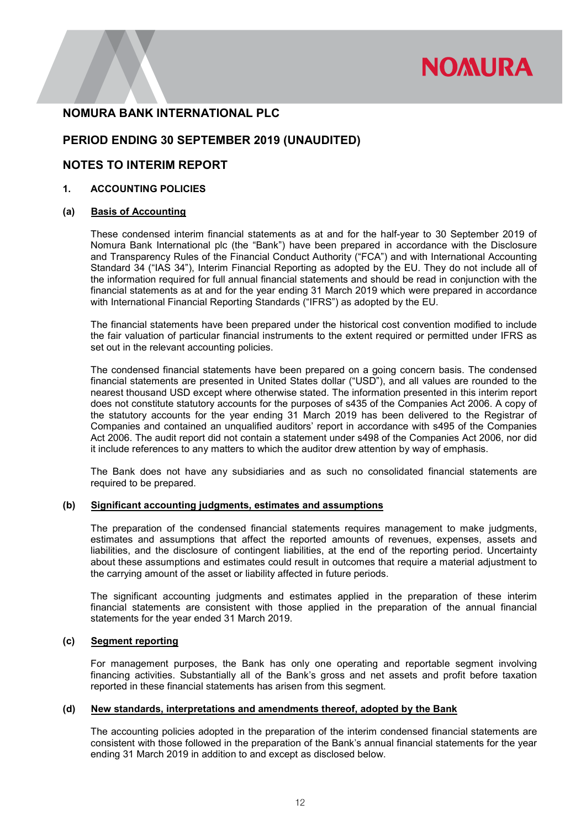# **NOMURA**

## NOMURA BANK INTERNATIONAL PLC

# PERIOD ENDING 30 SEPTEMBER 2019 (UNAUDITED)

#### NOTES TO INTERIM REPORT

#### 1. ACCOUNTING POLICIES

#### (a) Basis of Accounting

 These condensed interim financial statements as at and for the half-year to 30 September 2019 of Nomura Bank International plc (the "Bank") have been prepared in accordance with the Disclosure and Transparency Rules of the Financial Conduct Authority ("FCA") and with International Accounting Standard 34 ("IAS 34"), Interim Financial Reporting as adopted by the EU. They do not include all of the information required for full annual financial statements and should be read in conjunction with the financial statements as at and for the year ending 31 March 2019 which were prepared in accordance with International Financial Reporting Standards ("IFRS") as adopted by the EU.

 The financial statements have been prepared under the historical cost convention modified to include the fair valuation of particular financial instruments to the extent required or permitted under IFRS as set out in the relevant accounting policies.

 The condensed financial statements have been prepared on a going concern basis. The condensed financial statements are presented in United States dollar ("USD"), and all values are rounded to the nearest thousand USD except where otherwise stated. The information presented in this interim report does not constitute statutory accounts for the purposes of s435 of the Companies Act 2006. A copy of the statutory accounts for the year ending 31 March 2019 has been delivered to the Registrar of Companies and contained an unqualified auditors' report in accordance with s495 of the Companies Act 2006. The audit report did not contain a statement under s498 of the Companies Act 2006, nor did it include references to any matters to which the auditor drew attention by way of emphasis.

 The Bank does not have any subsidiaries and as such no consolidated financial statements are required to be prepared.

#### (b) Significant accounting judgments, estimates and assumptions

The preparation of the condensed financial statements requires management to make judgments, estimates and assumptions that affect the reported amounts of revenues, expenses, assets and liabilities, and the disclosure of contingent liabilities, at the end of the reporting period. Uncertainty about these assumptions and estimates could result in outcomes that require a material adjustment to the carrying amount of the asset or liability affected in future periods.

The significant accounting judgments and estimates applied in the preparation of these interim financial statements are consistent with those applied in the preparation of the annual financial statements for the year ended 31 March 2019.

#### (c) Segment reporting

For management purposes, the Bank has only one operating and reportable segment involving financing activities. Substantially all of the Bank's gross and net assets and profit before taxation reported in these financial statements has arisen from this segment.

#### (d) New standards, interpretations and amendments thereof, adopted by the Bank

The accounting policies adopted in the preparation of the interim condensed financial statements are consistent with those followed in the preparation of the Bank's annual financial statements for the year ending 31 March 2019 in addition to and except as disclosed below.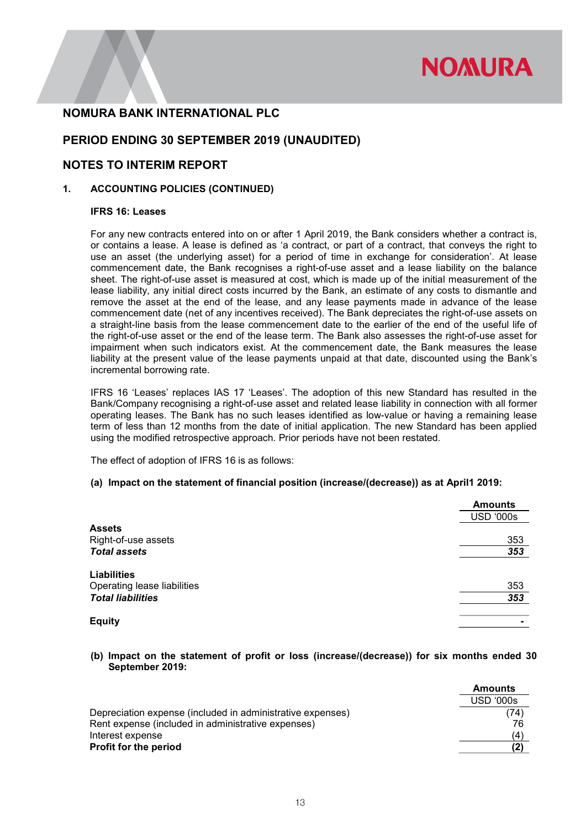# **NOMURA**

# NOMURA BANK INTERNATIONAL PLC

# PERIOD ENDING 30 SEPTEMBER 2019 (UNAUDITED)

#### NOTES TO INTERIM REPORT

#### 1. ACCOUNTING POLICIES (CONTINUED)

#### IFRS 16: Leases

For any new contracts entered into on or after 1 April 2019, the Bank considers whether a contract is, or contains a lease. A lease is defined as 'a contract, or part of a contract, that conveys the right to use an asset (the underlying asset) for a period of time in exchange for consideration'. At lease commencement date, the Bank recognises a right-of-use asset and a lease liability on the balance sheet. The right-of-use asset is measured at cost, which is made up of the initial measurement of the lease liability, any initial direct costs incurred by the Bank, an estimate of any costs to dismantle and remove the asset at the end of the lease, and any lease payments made in advance of the lease commencement date (net of any incentives received). The Bank depreciates the right-of-use assets on a straight-line basis from the lease commencement date to the earlier of the end of the useful life of the right-of-use asset or the end of the lease term. The Bank also assesses the right-of-use asset for impairment when such indicators exist. At the commencement date, the Bank measures the lease liability at the present value of the lease payments unpaid at that date, discounted using the Bank's incremental borrowing rate.

IFRS 16 'Leases' replaces IAS 17 'Leases'. The adoption of this new Standard has resulted in the Bank/Company recognising a right-of-use asset and related lease liability in connection with all former operating leases. The Bank has no such leases identified as low-value or having a remaining lease term of less than 12 months from the date of initial application. The new Standard has been applied using the modified retrospective approach. Prior periods have not been restated.

The effect of adoption of IFRS 16 is as follows:

#### (a) Impact on the statement of financial position (increase/(decrease)) as at April1 2019:

|                             | <b>Amounts</b>   |
|-----------------------------|------------------|
|                             | <b>USD '000s</b> |
| <b>Assets</b>               |                  |
| Right-of-use assets         | 353              |
| <b>Total assets</b>         | 353              |
| <b>Liabilities</b>          |                  |
| Operating lease liabilities | 353              |
| <b>Total liabilities</b>    | 353              |
| <b>Equity</b>               |                  |

(b) Impact on the statement of profit or loss (increase/(decrease)) for six months ended 30 September 2019:

|                                                            | <b>Amounts</b>   |
|------------------------------------------------------------|------------------|
|                                                            | <b>USD '000s</b> |
| Depreciation expense (included in administrative expenses) | (74)             |
| Rent expense (included in administrative expenses)         | 76               |
| Interest expense                                           | (4)              |
| Profit for the period                                      | (2               |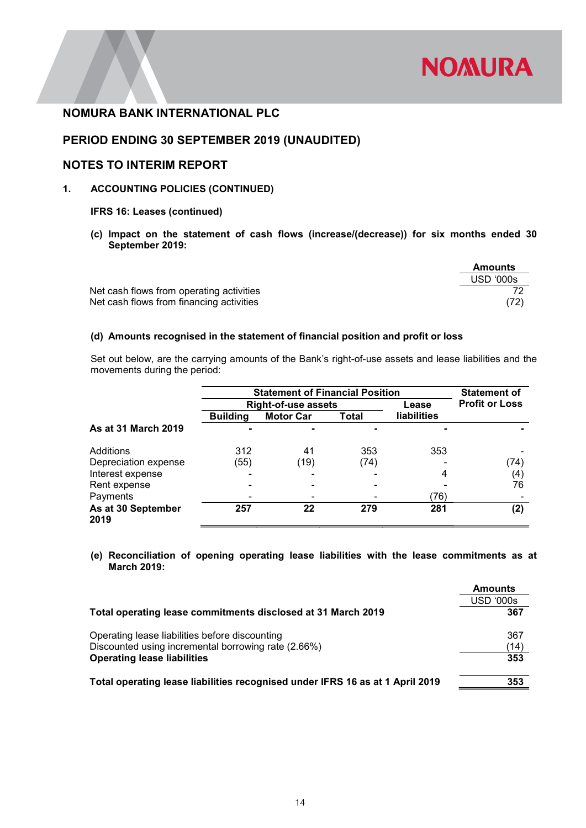

Amounts USD '000s

## NOMURA BANK INTERNATIONAL PLC

# PERIOD ENDING 30 SEPTEMBER 2019 (UNAUDITED)

#### NOTES TO INTERIM REPORT

1. ACCOUNTING POLICIES (CONTINUED)

#### IFRS 16: Leases (continued)

(c) Impact on the statement of cash flows (increase/(decrease)) for six months ended 30 September 2019:

Net cash flows from operating activities 72 Net cash flows from financing activities (72)

#### (d) Amounts recognised in the statement of financial position and profit or loss

Set out below, are the carrying amounts of the Bank's right-of-use assets and lease liabilities and the movements during the period:

|                            | <b>Statement of Financial Position</b> |                            |       |                       | <b>Statement of</b> |  |
|----------------------------|----------------------------------------|----------------------------|-------|-----------------------|---------------------|--|
|                            |                                        | <b>Right-of-use assets</b> | Lease | <b>Profit or Loss</b> |                     |  |
|                            | <b>Building</b>                        | <b>Motor Car</b>           | Total | <b>liabilities</b>    |                     |  |
| As at 31 March 2019        | ۰                                      |                            |       |                       |                     |  |
| Additions                  | 312                                    | 41                         | 353   | 353                   |                     |  |
| Depreciation expense       | (55)                                   | (19)                       | (74)  |                       | (74)                |  |
| Interest expense           | -                                      | -                          |       | 4                     | (4                  |  |
| Rent expense               |                                        |                            |       |                       | 76                  |  |
| Payments                   |                                        |                            |       | 76)                   |                     |  |
| As at 30 September<br>2019 | 257                                    | 22                         | 279   | 281                   | (2)                 |  |

(e) Reconciliation of opening operating lease liabilities with the lease commitments as at March 2019:

|                                                                               | <b>Amounts</b>   |
|-------------------------------------------------------------------------------|------------------|
|                                                                               | <b>USD '000s</b> |
| Total operating lease commitments disclosed at 31 March 2019                  | 367              |
| Operating lease liabilities before discounting                                | 367              |
| Discounted using incremental borrowing rate (2.66%)                           | (14)             |
| <b>Operating lease liabilities</b>                                            | 353              |
| Total operating lease liabilities recognised under IFRS 16 as at 1 April 2019 | 353              |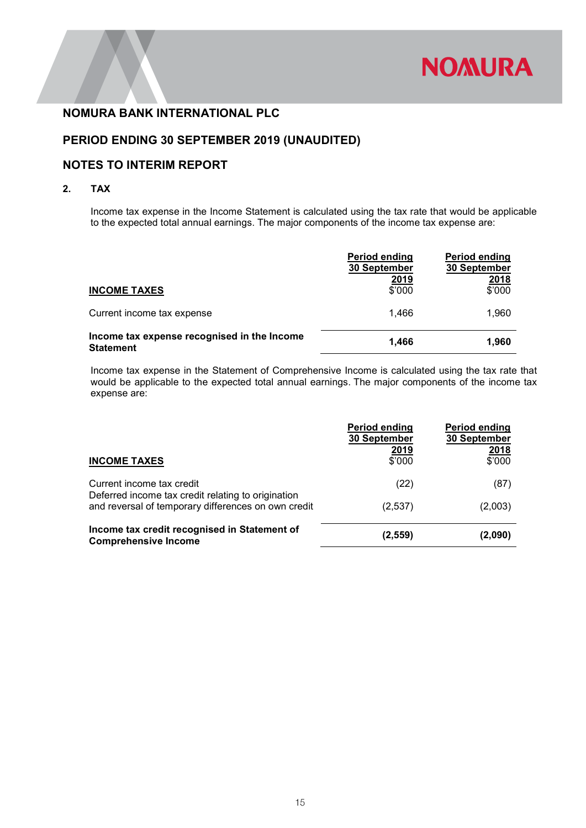

# PERIOD ENDING 30 SEPTEMBER 2019 (UNAUDITED)

## NOTES TO INTERIM REPORT

#### 2. TAX

Income tax expense in the Income Statement is calculated using the tax rate that would be applicable to the expected total annual earnings. The major components of the income tax expense are:

|                                                                 | <b>Period ending</b><br>30 September<br>2019 | <b>Period ending</b><br>30 September<br>2018 |
|-----------------------------------------------------------------|----------------------------------------------|----------------------------------------------|
| <b>INCOME TAXES</b>                                             | \$'000                                       | \$'000                                       |
| Current income tax expense                                      | 1.466                                        | 1,960                                        |
| Income tax expense recognised in the Income<br><b>Statement</b> | 1.466                                        | 1,960                                        |

Income tax expense in the Statement of Comprehensive Income is calculated using the tax rate that would be applicable to the expected total annual earnings. The major components of the income tax expense are:

| <b>INCOME TAXES</b>                                                                                       | <b>Period ending</b><br>30 September<br>2019<br>\$'000 | <b>Period ending</b><br>30 September<br>2018<br>\$'000 |
|-----------------------------------------------------------------------------------------------------------|--------------------------------------------------------|--------------------------------------------------------|
| Current income tax credit                                                                                 | (22)                                                   | (87)                                                   |
| Deferred income tax credit relating to origination<br>and reversal of temporary differences on own credit | (2,537)                                                | (2,003)                                                |
| Income tax credit recognised in Statement of<br><b>Comprehensive Income</b>                               | (2, 559)                                               | (2,090)                                                |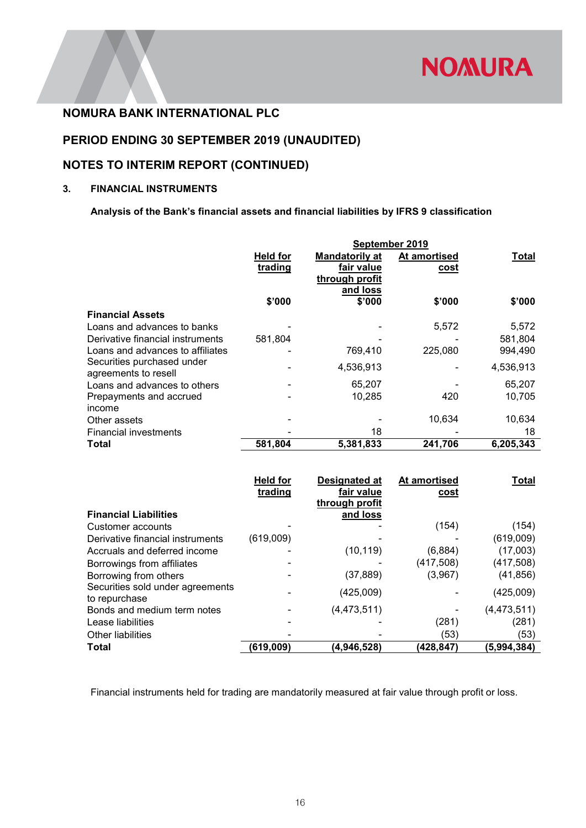

# PERIOD ENDING 30 SEPTEMBER 2019 (UNAUDITED)

# NOTES TO INTERIM REPORT (CONTINUED)

#### 3. FINANCIAL INSTRUMENTS

Analysis of the Bank's financial assets and financial liabilities by IFRS 9 classification

|                                  | <b>Held for</b> | <b>Mandatorily at</b> | At amortised | <b>Total</b> |
|----------------------------------|-----------------|-----------------------|--------------|--------------|
|                                  | trading         | fair value            | cost         |              |
|                                  |                 | through profit        |              |              |
|                                  |                 | and loss              |              |              |
|                                  | \$'000          | \$'000                | \$'000       | \$'000       |
| <b>Financial Assets</b>          |                 |                       |              |              |
| Loans and advances to banks      |                 |                       | 5,572        | 5,572        |
| Derivative financial instruments | 581,804         |                       |              | 581,804      |
| Loans and advances to affiliates |                 | 769,410               | 225,080      | 994,490      |
| Securities purchased under       |                 | 4,536,913             |              | 4,536,913    |
| agreements to resell             |                 |                       |              |              |
| Loans and advances to others     |                 | 65,207                |              | 65,207       |
| Prepayments and accrued          |                 | 10,285                | 420          | 10,705       |
| income                           |                 |                       |              |              |
| Other assets                     |                 |                       | 10,634       | 10,634       |
| Financial investments            |                 | 18                    |              | 18           |
| Total                            | 581,804         | 5,381,833             | 241,706      | 6,205,343    |
|                                  |                 |                       |              |              |

|                                                   | <b>Held for</b><br>trading | Designated at<br>fair value<br>through profit | At amortised<br><u>cost</u> | <b>Total</b> |
|---------------------------------------------------|----------------------------|-----------------------------------------------|-----------------------------|--------------|
| <b>Financial Liabilities</b>                      |                            | and loss                                      |                             |              |
| Customer accounts                                 |                            |                                               | (154)                       | (154)        |
| Derivative financial instruments                  | (619,009)                  |                                               |                             | (619,009)    |
| Accruals and deferred income                      |                            | (10, 119)                                     | (6,884)                     | (17,003)     |
| Borrowings from affiliates                        |                            |                                               | (417,508)                   | (417,508)    |
| Borrowing from others                             |                            | (37, 889)                                     | (3,967)                     | (41, 856)    |
| Securities sold under agreements<br>to repurchase |                            | (425,009)                                     |                             | (425,009)    |
| Bonds and medium term notes                       |                            | (4, 473, 511)                                 |                             | (4,473,511)  |
| Lease liabilities                                 |                            |                                               | (281)                       | (281)        |
| <b>Other liabilities</b>                          |                            |                                               | (53)                        | (53)         |
| Total                                             | (619,009)                  | (4,946,528)                                   | (428, 847)                  | (5,994,384)  |

Financial instruments held for trading are mandatorily measured at fair value through profit or loss.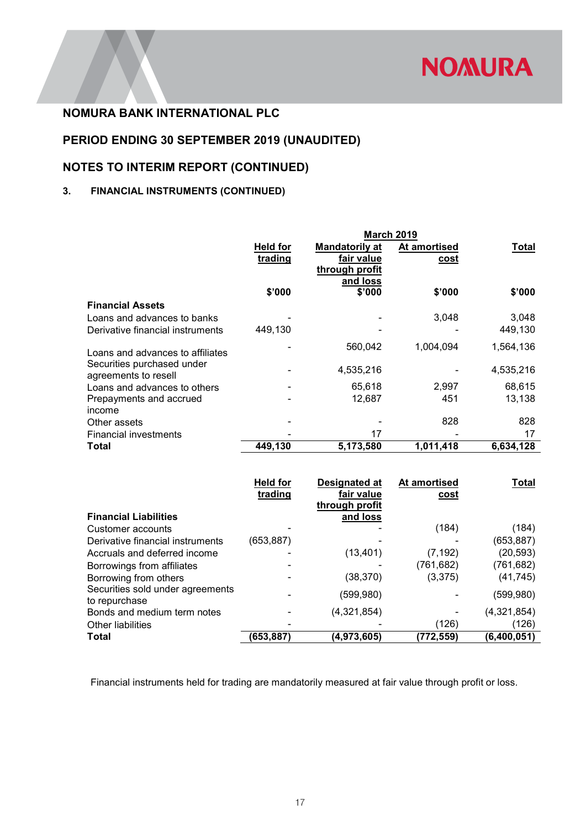

# PERIOD ENDING 30 SEPTEMBER 2019 (UNAUDITED)

# NOTES TO INTERIM REPORT (CONTINUED)

# 3. FINANCIAL INSTRUMENTS (CONTINUED)

|                                                    | <b>March 2019</b>   |                                                                   |                             |              |  |
|----------------------------------------------------|---------------------|-------------------------------------------------------------------|-----------------------------|--------------|--|
|                                                    | Held for<br>trading | <b>Mandatorily at</b><br>fair value<br>through profit<br>and loss | <u>At amortised</u><br>cost | <u>Total</u> |  |
|                                                    | \$'000              | \$'000                                                            | \$'000                      | \$'000       |  |
| <b>Financial Assets</b>                            |                     |                                                                   |                             |              |  |
| Loans and advances to banks                        |                     |                                                                   | 3,048                       | 3,048        |  |
| Derivative financial instruments                   | 449.130             |                                                                   |                             | 449,130      |  |
| Loans and advances to affiliates                   |                     | 560,042                                                           | 1,004,094                   | 1,564,136    |  |
| Securities purchased under<br>agreements to resell |                     | 4,535,216                                                         |                             | 4,535,216    |  |
| Loans and advances to others                       |                     | 65,618                                                            | 2.997                       | 68,615       |  |
| Prepayments and accrued<br>income                  |                     | 12,687                                                            | 451                         | 13,138       |  |
| Other assets                                       |                     |                                                                   | 828                         | 828          |  |
| Financial investments                              |                     | 17                                                                |                             | 17           |  |
| Total                                              | 449,130             | 5,173,580                                                         | 1,011,418                   | 6,634,128    |  |

|                                                   | <b>Held for</b><br>trading | Designated at<br>fair value | At amortised<br><u>cost</u> | Total       |
|---------------------------------------------------|----------------------------|-----------------------------|-----------------------------|-------------|
|                                                   |                            | through profit              |                             |             |
| <b>Financial Liabilities</b>                      |                            | and loss                    |                             |             |
| Customer accounts                                 |                            |                             | (184)                       | (184)       |
| Derivative financial instruments                  | (653,887)                  |                             |                             | (653, 887)  |
| Accruals and deferred income                      |                            | (13, 401)                   | (7, 192)                    | (20, 593)   |
| Borrowings from affiliates                        |                            |                             | (761, 682)                  | (761, 682)  |
| Borrowing from others                             |                            | (38, 370)                   | (3,375)                     | (41, 745)   |
| Securities sold under agreements<br>to repurchase |                            | (599,980)                   |                             | (599,980)   |
| Bonds and medium term notes                       |                            | (4,321,854)                 |                             | (4,321,854) |
| Other liabilities                                 |                            |                             | (126)                       | (126)       |
| <b>Total</b>                                      | (653,887)                  | (4,973,605)                 | (772, 559)                  | (6,400,051) |

Financial instruments held for trading are mandatorily measured at fair value through profit or loss.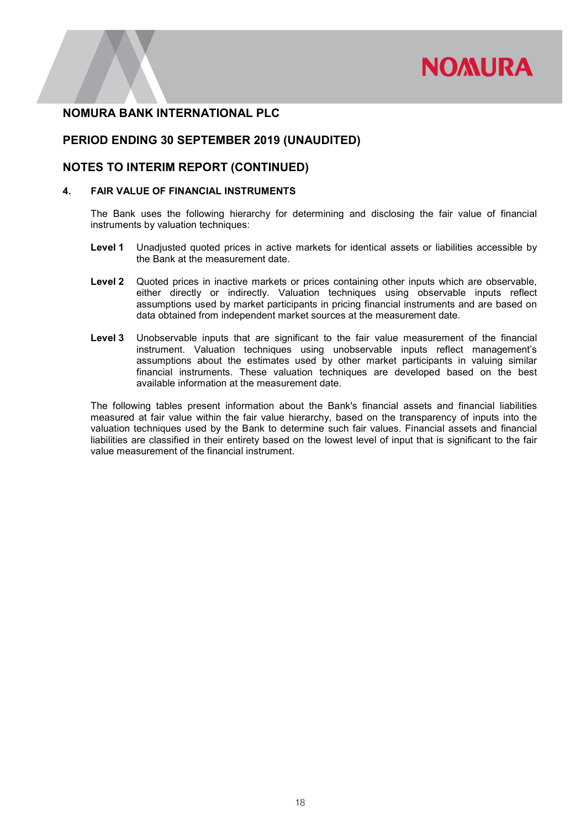

## PERIOD ENDING 30 SEPTEMBER 2019 (UNAUDITED)

#### NOTES TO INTERIM REPORT (CONTINUED)

#### 4. FAIR VALUE OF FINANCIAL INSTRUMENTS

The Bank uses the following hierarchy for determining and disclosing the fair value of financial instruments by valuation techniques:

- Level 1 Unadjusted quoted prices in active markets for identical assets or liabilities accessible by the Bank at the measurement date.
- Level 2 Quoted prices in inactive markets or prices containing other inputs which are observable, either directly or indirectly. Valuation techniques using observable inputs reflect assumptions used by market participants in pricing financial instruments and are based on data obtained from independent market sources at the measurement date.
- Level 3 Unobservable inputs that are significant to the fair value measurement of the financial instrument. Valuation techniques using unobservable inputs reflect management's assumptions about the estimates used by other market participants in valuing similar financial instruments. These valuation techniques are developed based on the best available information at the measurement date.

The following tables present information about the Bank's financial assets and financial liabilities measured at fair value within the fair value hierarchy, based on the transparency of inputs into the valuation techniques used by the Bank to determine such fair values. Financial assets and financial liabilities are classified in their entirety based on the lowest level of input that is significant to the fair value measurement of the financial instrument.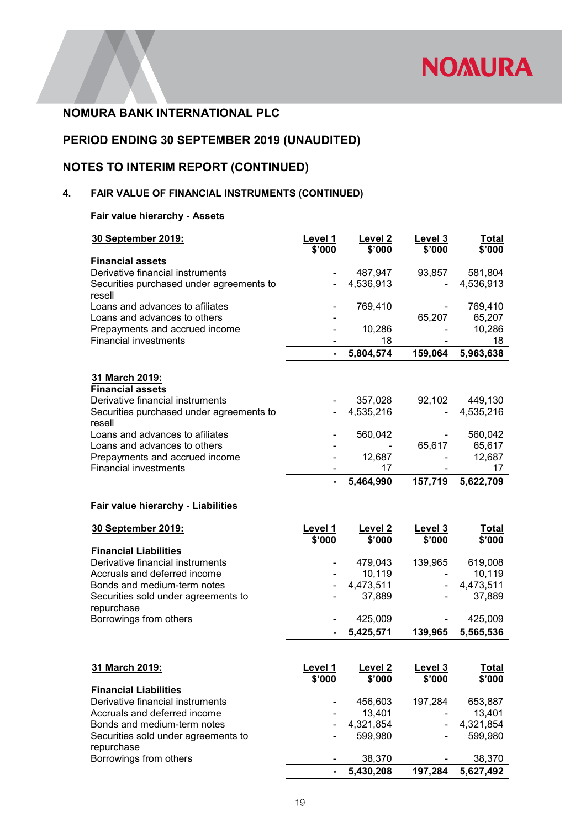

# PERIOD ENDING 30 SEPTEMBER 2019 (UNAUDITED)

# NOTES TO INTERIM REPORT (CONTINUED)

# 4. FAIR VALUE OF FINANCIAL INSTRUMENTS (CONTINUED)

#### Fair value hierarchy - Assets

| 30 September 2019:                                 | Level 1<br>\$'000 | Level 2<br>\$'000 | Level 3<br>\$'000 | <b>Total</b><br>\$'000 |
|----------------------------------------------------|-------------------|-------------------|-------------------|------------------------|
| <b>Financial assets</b>                            |                   |                   |                   |                        |
| Derivative financial instruments                   |                   | 487,947           | 93,857            | 581,804                |
| Securities purchased under agreements to<br>resell |                   | 4,536,913         |                   | 4,536,913              |
| Loans and advances to afiliates                    |                   | 769,410           |                   | 769,410                |
| Loans and advances to others                       |                   |                   | 65,207            | 65,207                 |
| Prepayments and accrued income                     |                   | 10,286            |                   | 10,286                 |
| <b>Financial investments</b>                       |                   | 18                |                   | 18                     |
|                                                    |                   | 5,804,574         | 159,064           | 5,963,638              |
| 31 March 2019:                                     |                   |                   |                   |                        |
| <b>Financial assets</b>                            |                   |                   |                   |                        |
| Derivative financial instruments                   |                   | 357,028           | 92,102            | 449,130                |
| Securities purchased under agreements to<br>resell |                   | 4,535,216         |                   | 4,535,216              |
| Loans and advances to afiliates                    |                   | 560,042           |                   | 560,042                |
| Loans and advances to others                       |                   |                   | 65,617            | 65,617                 |
| Prepayments and accrued income                     |                   | 12,687            |                   | 12,687                 |
| <b>Financial investments</b>                       |                   | 17                |                   | 17                     |
|                                                    |                   | 5,464,990         | 157,719           | 5,622,709              |
| Fair value hierarchy - Liabilities                 |                   |                   |                   |                        |
| 30 September 2019:                                 | Level 1           | Level 2           | <b>Level 3</b>    | <u>Total</u>           |
|                                                    | \$'000            | \$'000            | \$'000            | \$'000                 |
| <b>Financial Liabilities</b>                       |                   |                   |                   |                        |
| Derivative financial instruments                   |                   | 479,043           | 139,965           | 619,008                |
| Accruals and deferred income                       |                   | 10,119            |                   | 10,119                 |
| Bonds and medium-term notes                        |                   | 4,473,511         |                   | 4,473,511              |
| Securities sold under agreements to                |                   | 37,889            |                   | 37,889                 |
| repurchase<br>Borrowings from others               |                   | 425,009           |                   | 425,009                |
|                                                    |                   | 5,425,571         | 139,965           | 5,565,536              |
|                                                    |                   |                   |                   |                        |
| 31 March 2019:                                     | Level 1           | <b>Level 2</b>    | <u>Level 3</u>    | <u>Total</u>           |
|                                                    | \$'000            | \$'000            | \$'000            | \$'000                 |
| <b>Financial Liabilities</b>                       |                   |                   |                   |                        |
| Derivative financial instruments                   |                   | 456,603           | 197,284           | 653,887                |
| Accruals and deferred income                       |                   | 13,401            |                   | 13,401                 |
| Bonds and medium-term notes                        |                   | 4,321,854         |                   | 4,321,854              |
| Securities sold under agreements to<br>repurchase  |                   | 599,980           |                   | 599,980                |
| Borrowings from others                             |                   | 38,370            |                   | 38,370                 |
|                                                    |                   | 5,430,208         | 197,284           | 5,627,492              |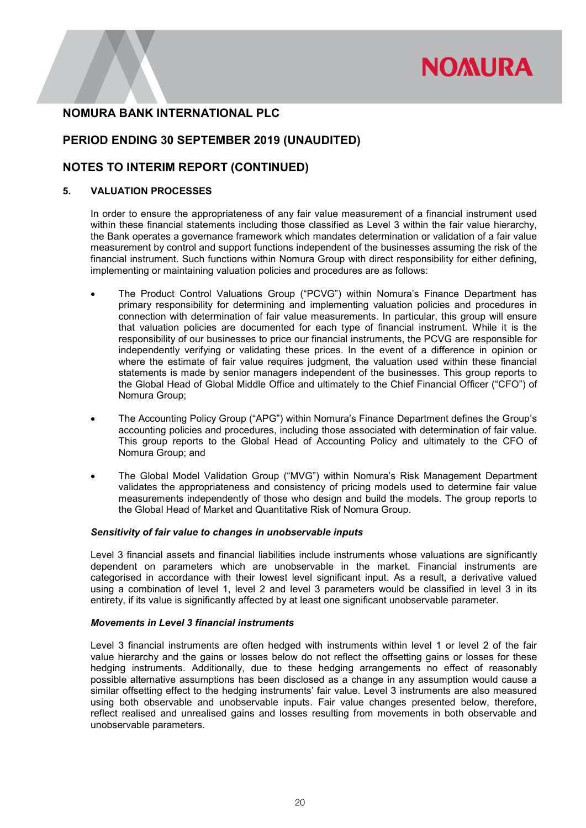# **NOMURA**

# NOMURA BANK INTERNATIONAL PLC

# PERIOD ENDING 30 SEPTEMBER 2019 (UNAUDITED)

# NOTES TO INTERIM REPORT (CONTINUED)

#### 5. VALUATION PROCESSES

In order to ensure the appropriateness of any fair value measurement of a financial instrument used within these financial statements including those classified as Level 3 within the fair value hierarchy, the Bank operates a governance framework which mandates determination or validation of a fair value measurement by control and support functions independent of the businesses assuming the risk of the financial instrument. Such functions within Nomura Group with direct responsibility for either defining, implementing or maintaining valuation policies and procedures are as follows:

- The Product Control Valuations Group ("PCVG") within Nomura's Finance Department has primary responsibility for determining and implementing valuation policies and procedures in connection with determination of fair value measurements. In particular, this group will ensure that valuation policies are documented for each type of financial instrument. While it is the responsibility of our businesses to price our financial instruments, the PCVG are responsible for independently verifying or validating these prices. In the event of a difference in opinion or where the estimate of fair value requires judgment, the valuation used within these financial statements is made by senior managers independent of the businesses. This group reports to the Global Head of Global Middle Office and ultimately to the Chief Financial Officer ("CFO") of Nomura Group;
- The Accounting Policy Group ("APG") within Nomura's Finance Department defines the Group's accounting policies and procedures, including those associated with determination of fair value. This group reports to the Global Head of Accounting Policy and ultimately to the CFO of Nomura Group; and
- The Global Model Validation Group ("MVG") within Nomura's Risk Management Department validates the appropriateness and consistency of pricing models used to determine fair value measurements independently of those who design and build the models. The group reports to the Global Head of Market and Quantitative Risk of Nomura Group.

#### Sensitivity of fair value to changes in unobservable inputs

Level 3 financial assets and financial liabilities include instruments whose valuations are significantly dependent on parameters which are unobservable in the market. Financial instruments are categorised in accordance with their lowest level significant input. As a result, a derivative valued using a combination of level 1, level 2 and level 3 parameters would be classified in level 3 in its entirety, if its value is significantly affected by at least one significant unobservable parameter.

#### Movements in Level 3 financial instruments

Level 3 financial instruments are often hedged with instruments within level 1 or level 2 of the fair value hierarchy and the gains or losses below do not reflect the offsetting gains or losses for these hedging instruments. Additionally, due to these hedging arrangements no effect of reasonably possible alternative assumptions has been disclosed as a change in any assumption would cause a similar offsetting effect to the hedging instruments' fair value. Level 3 instruments are also measured using both observable and unobservable inputs. Fair value changes presented below, therefore, reflect realised and unrealised gains and losses resulting from movements in both observable and unobservable parameters.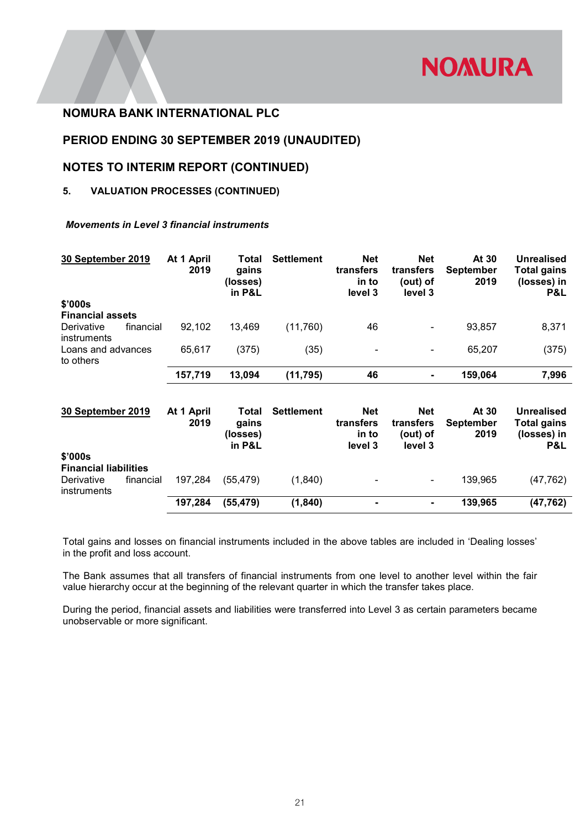

# PERIOD ENDING 30 SEPTEMBER 2019 (UNAUDITED)

## NOTES TO INTERIM REPORT (CONTINUED)

#### 5. VALUATION PROCESSES (CONTINUED)

#### Movements in Level 3 financial instruments

| 30 September 2019                      | At 1 April<br>2019 | Total<br>gains<br>(losses)<br>in P&L | <b>Settlement</b> | <b>Net</b><br>transfers<br>in to<br>level 3 | <b>Net</b><br>transfers<br>(out) of<br>level 3 | At 30<br><b>September</b><br>2019 | <b>Unrealised</b><br><b>Total gains</b><br>(losses) in<br>P&L |
|----------------------------------------|--------------------|--------------------------------------|-------------------|---------------------------------------------|------------------------------------------------|-----------------------------------|---------------------------------------------------------------|
| \$'000s                                |                    |                                      |                   |                                             |                                                |                                   |                                                               |
| <b>Financial assets</b>                |                    |                                      |                   |                                             |                                                |                                   |                                                               |
| Derivative<br>financial<br>instruments | 92,102             | 13,469                               | (11,760)          | 46                                          |                                                | 93,857                            | 8,371                                                         |
| Loans and advances<br>to others        | 65,617             | (375)                                | (35)              | ۰                                           |                                                | 65,207                            | (375)                                                         |
|                                        | 157,719            | 13,094                               | (11, 795)         | 46                                          |                                                | 159,064                           | 7,996                                                         |
|                                        |                    |                                      |                   |                                             |                                                |                                   |                                                               |
| 30 September 2019                      | At 1 April<br>2019 | Total<br>gains<br>(losses)<br>in P&L | <b>Settlement</b> | <b>Net</b><br>transfers<br>in to<br>level 3 | <b>Net</b><br>transfers<br>(out) of<br>level 3 | At 30<br><b>September</b><br>2019 | <b>Unrealised</b><br><b>Total gains</b><br>(losses) in<br>P&L |
| \$'000s                                |                    |                                      |                   |                                             |                                                |                                   |                                                               |
| <b>Financial liabilities</b>           |                    |                                      |                   |                                             |                                                |                                   |                                                               |
| Derivative<br>financial<br>instruments | 197,284            | (55, 479)                            | (1,840)           |                                             | ۰                                              | 139,965                           | (47, 762)                                                     |
|                                        | 197,284            | (55, 479)                            | (1, 840)          |                                             | $\blacksquare$                                 | 139,965                           | (47,762)                                                      |

 Total gains and losses on financial instruments included in the above tables are included in 'Dealing losses' in the profit and loss account.

 The Bank assumes that all transfers of financial instruments from one level to another level within the fair value hierarchy occur at the beginning of the relevant quarter in which the transfer takes place.

 During the period, financial assets and liabilities were transferred into Level 3 as certain parameters became unobservable or more significant.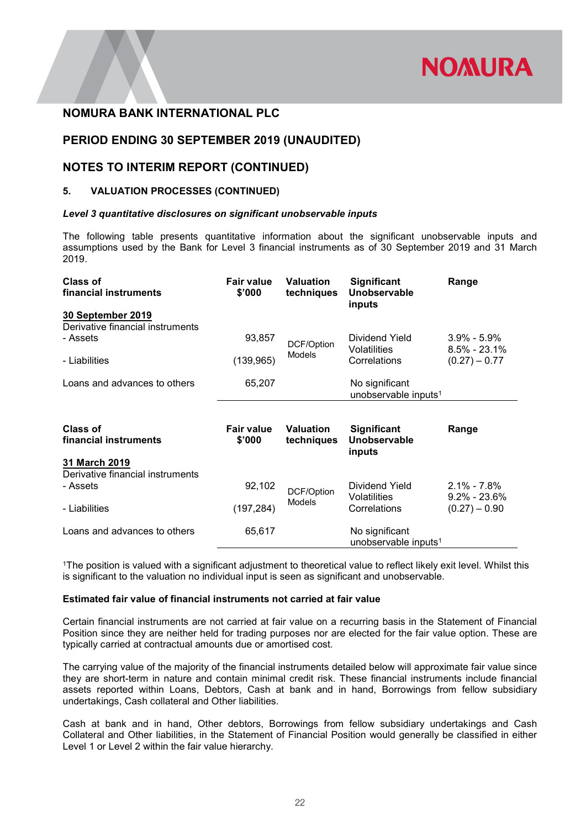

# PERIOD ENDING 30 SEPTEMBER 2019 (UNAUDITED)

#### NOTES TO INTERIM REPORT (CONTINUED)

#### 5. VALUATION PROCESSES (CONTINUED)

#### Level 3 quantitative disclosures on significant unobservable inputs

The following table presents quantitative information about the significant unobservable inputs and assumptions used by the Bank for Level 3 financial instruments as of 30 September 2019 and 31 March 2019.

| Class of<br>financial instruments                 | <b>Fair value</b><br>\$'000 | <b>Valuation</b><br>techniques | <b>Significant</b><br>Unobservable<br>inputs       | Range                               |
|---------------------------------------------------|-----------------------------|--------------------------------|----------------------------------------------------|-------------------------------------|
| 30 September 2019                                 |                             |                                |                                                    |                                     |
| Derivative financial instruments                  |                             |                                |                                                    |                                     |
| - Assets                                          | 93,857                      | DCF/Option                     | Dividend Yield<br>Volatilities                     | $3.9\% - 5.9\%$<br>$8.5\% - 23.1\%$ |
| - Liabilities                                     | (139, 965)                  | Models                         | Correlations                                       | $(0.27) - 0.77$                     |
| Loans and advances to others                      | 65,207                      |                                | No significant<br>unobservable inputs <sup>1</sup> |                                     |
|                                                   |                             |                                |                                                    |                                     |
|                                                   |                             |                                |                                                    |                                     |
| Class of<br>financial instruments                 | <b>Fair value</b><br>\$'000 | <b>Valuation</b><br>techniques | <b>Significant</b><br>Unobservable                 | Range                               |
|                                                   |                             |                                | inputs                                             |                                     |
| 31 March 2019<br>Derivative financial instruments |                             |                                |                                                    |                                     |
| - Assets                                          | 92,102                      | DCF/Option                     | Dividend Yield                                     | $2.1\% - 7.8\%$                     |
| - Liabilities                                     | (197, 284)                  | Models                         | Volatilities<br>Correlations                       | $9.2\% - 23.6\%$<br>$(0.27) - 0.90$ |

<sup>1</sup>The position is valued with a significant adjustment to theoretical value to reflect likely exit level. Whilst this is significant to the valuation no individual input is seen as significant and unobservable.

#### Estimated fair value of financial instruments not carried at fair value

Certain financial instruments are not carried at fair value on a recurring basis in the Statement of Financial Position since they are neither held for trading purposes nor are elected for the fair value option. These are typically carried at contractual amounts due or amortised cost.

The carrying value of the majority of the financial instruments detailed below will approximate fair value since they are short-term in nature and contain minimal credit risk. These financial instruments include financial assets reported within Loans, Debtors, Cash at bank and in hand, Borrowings from fellow subsidiary undertakings, Cash collateral and Other liabilities.

Cash at bank and in hand, Other debtors, Borrowings from fellow subsidiary undertakings and Cash Collateral and Other liabilities, in the Statement of Financial Position would generally be classified in either Level 1 or Level 2 within the fair value hierarchy.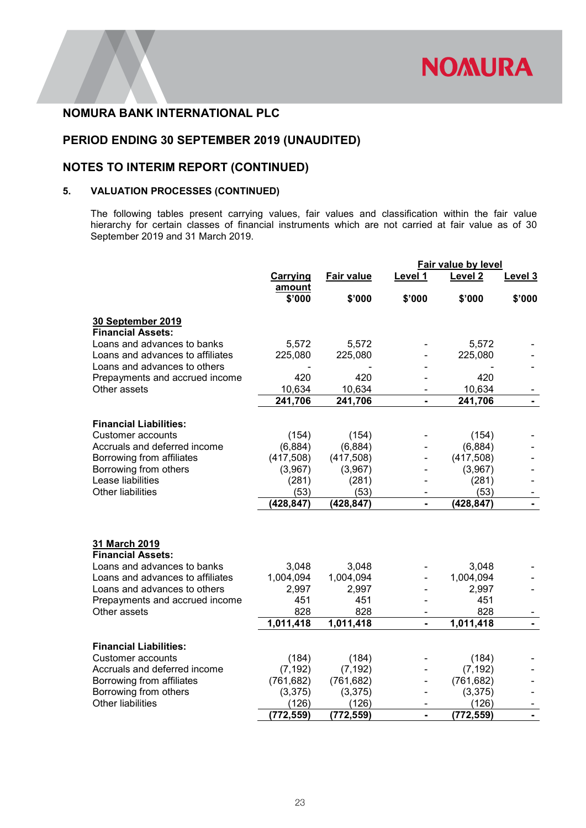

# PERIOD ENDING 30 SEPTEMBER 2019 (UNAUDITED)

# NOTES TO INTERIM REPORT (CONTINUED)

#### 5. VALUATION PROCESSES (CONTINUED)

The following tables present carrying values, fair values and classification within the fair value hierarchy for certain classes of financial instruments which are not carried at fair value as of 30 September 2019 and 31 March 2019.

|                                               |                  |                        |         | <b>Fair value by level</b> |                |
|-----------------------------------------------|------------------|------------------------|---------|----------------------------|----------------|
|                                               | <b>Carrying</b>  | <b>Fair value</b>      | Level 1 | Level 2                    | Level 3        |
|                                               | amount<br>\$'000 | \$'000                 | \$'000  | \$'000                     | \$'000         |
| 30 September 2019<br><b>Financial Assets:</b> |                  |                        |         |                            |                |
| Loans and advances to banks                   | 5,572            | 5,572                  |         | 5,572                      |                |
| Loans and advances to affiliates              | 225,080          | 225,080                |         | 225,080                    |                |
| Loans and advances to others                  |                  |                        |         |                            |                |
| Prepayments and accrued income                | 420              | 420                    |         | 420                        |                |
| Other assets                                  | 10,634           | 10,634                 |         | 10,634                     |                |
|                                               | 241,706          | 241,706                |         | 241,706                    |                |
| <b>Financial Liabilities:</b>                 |                  |                        |         |                            |                |
| Customer accounts                             | (154)            | (154)                  |         | (154)                      |                |
| Accruals and deferred income                  | (6,884)          | (6,884)                |         | (6,884)                    |                |
| Borrowing from affiliates                     | (417, 508)       | (417,508)              |         | (417,508)                  |                |
| Borrowing from others                         | (3,967)          | (3,967)                |         | (3,967)                    |                |
| Lease liabilities                             | (281)            | (281)                  |         | (281)                      |                |
| <b>Other liabilities</b>                      | (53)             | (53)                   |         | (53)                       |                |
|                                               | (428, 847)       | (428, 847)             | Ξ.      | (428, 847)                 | $\blacksquare$ |
|                                               |                  |                        |         |                            |                |
| 31 March 2019                                 |                  |                        |         |                            |                |
| <b>Financial Assets:</b>                      |                  |                        |         |                            |                |
| Loans and advances to banks                   | 3,048            | 3,048                  |         | 3,048                      |                |
| Loans and advances to affiliates              | 1,004,094        | 1,004,094              |         | 1,004,094                  |                |
| Loans and advances to others                  | 2,997            | 2,997                  |         | 2,997                      |                |
| Prepayments and accrued income                | 451              | 451                    |         | 451                        |                |
| Other assets                                  | 828              | 828                    |         | 828                        |                |
|                                               | 1,011,418        | 1,011,418              |         | 1,011,418                  |                |
| <b>Financial Liabilities:</b>                 |                  |                        |         |                            |                |
| Customer accounts                             | (184)            | (184)                  |         | (184)                      |                |
| Accruals and deferred income                  | (7, 192)         | (7, 192)               |         | (7, 192)                   |                |
| Borrowing from affiliates                     | (761, 682)       | (761, 682)             |         | (761, 682)                 |                |
| Borrowing from others                         | (3, 375)         | (3, 375)               |         | (3, 375)                   |                |
| <b>Other liabilities</b>                      | (126)            | (126)                  |         | (126)                      |                |
|                                               | (772, 559)       | $\overline{(772,559)}$ |         | (772, 559)                 |                |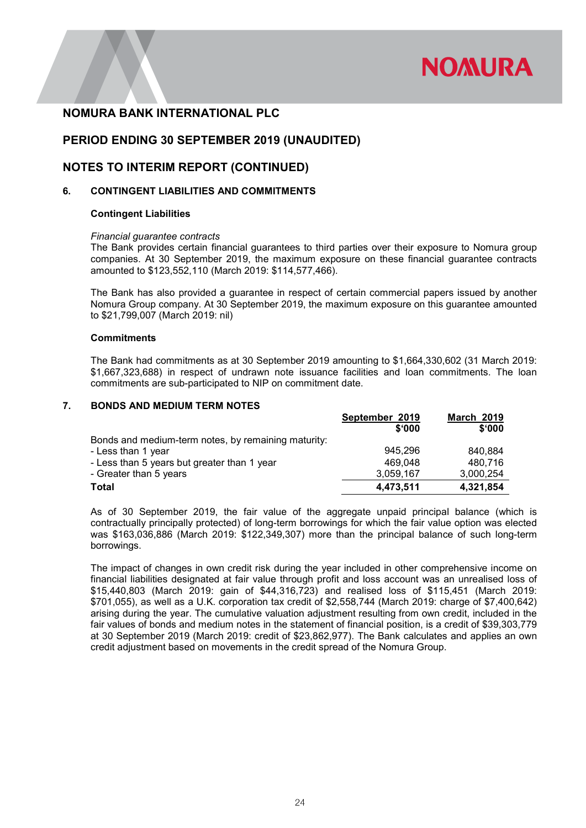

# PERIOD ENDING 30 SEPTEMBER 2019 (UNAUDITED)

#### NOTES TO INTERIM REPORT (CONTINUED)

#### 6. CONTINGENT LIABILITIES AND COMMITMENTS

#### Contingent Liabilities

#### Financial guarantee contracts

The Bank provides certain financial guarantees to third parties over their exposure to Nomura group companies. At 30 September 2019, the maximum exposure on these financial guarantee contracts amounted to \$123,552,110 (March 2019: \$114,577,466).

 The Bank has also provided a guarantee in respect of certain commercial papers issued by another Nomura Group company. At 30 September 2019, the maximum exposure on this guarantee amounted to \$21,799,007 (March 2019: nil)

#### **Commitments**

The Bank had commitments as at 30 September 2019 amounting to \$1,664,330,602 (31 March 2019: \$1,667,323,688) in respect of undrawn note issuance facilities and loan commitments. The loan commitments are sub-participated to NIP on commitment date.

#### 7. BONDS AND MEDIUM TERM NOTES

|                                                     | September 2019 | <b>March 2019</b> |
|-----------------------------------------------------|----------------|-------------------|
|                                                     | \$'000         | \$'000            |
| Bonds and medium-term notes, by remaining maturity: |                |                   |
| - Less than 1 year                                  | 945.296        | 840.884           |
| - Less than 5 years but greater than 1 year         | 469.048        | 480.716           |
| - Greater than 5 years                              | 3,059,167      | 3,000,254         |
| Total                                               | 4,473,511      | 4,321,854         |

As of 30 September 2019, the fair value of the aggregate unpaid principal balance (which is contractually principally protected) of long-term borrowings for which the fair value option was elected was \$163,036,886 (March 2019: \$122,349,307) more than the principal balance of such long-term borrowings.

The impact of changes in own credit risk during the year included in other comprehensive income on financial liabilities designated at fair value through profit and loss account was an unrealised loss of \$15,440,803 (March 2019: gain of \$44,316,723) and realised loss of \$115,451 (March 2019: \$701,055), as well as a U.K. corporation tax credit of \$2,558,744 (March 2019: charge of \$7,400,642) arising during the year. The cumulative valuation adjustment resulting from own credit, included in the fair values of bonds and medium notes in the statement of financial position, is a credit of \$39,303,779 at 30 September 2019 (March 2019: credit of \$23,862,977). The Bank calculates and applies an own credit adjustment based on movements in the credit spread of the Nomura Group.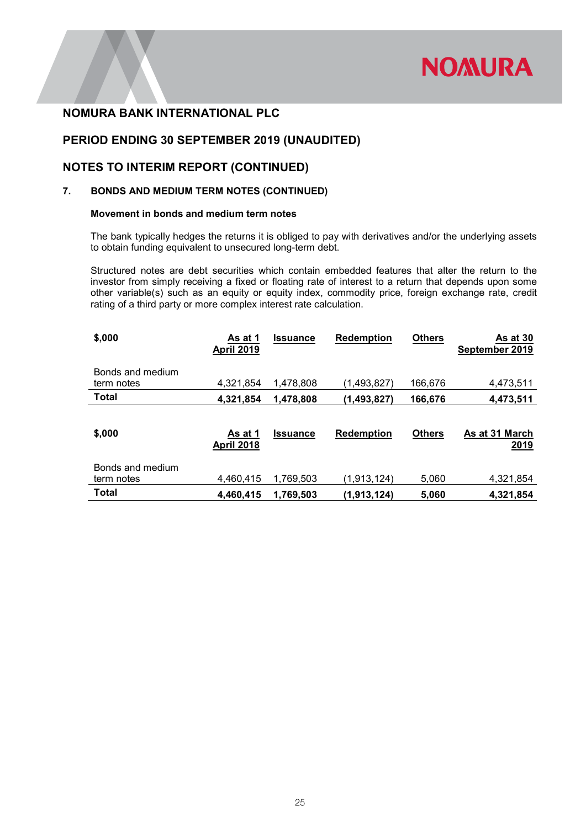

# PERIOD ENDING 30 SEPTEMBER 2019 (UNAUDITED)

#### NOTES TO INTERIM REPORT (CONTINUED)

#### 7. BONDS AND MEDIUM TERM NOTES (CONTINUED)

#### Movement in bonds and medium term notes

The bank typically hedges the returns it is obliged to pay with derivatives and/or the underlying assets to obtain funding equivalent to unsecured long-term debt.

Structured notes are debt securities which contain embedded features that alter the return to the investor from simply receiving a fixed or floating rate of interest to a return that depends upon some other variable(s) such as an equity or equity index, commodity price, foreign exchange rate, credit rating of a third party or more complex interest rate calculation.

| \$,000                         | As at 1<br><b>April 2019</b> | <b>Issuance</b> | <b>Redemption</b> | <b>Others</b> | As at 30<br>September 2019 |
|--------------------------------|------------------------------|-----------------|-------------------|---------------|----------------------------|
| Bonds and medium<br>term notes | 4,321,854                    | 1.478.808       | (1,493,827)       | 166,676       | 4,473,511                  |
| <b>Total</b>                   | 4,321,854                    | 1.478.808       | (1,493,827)       | 166,676       | 4,473,511                  |
| \$,000                         | As at 1<br><b>April 2018</b> | <b>Issuance</b> | <b>Redemption</b> | <b>Others</b> | As at 31 March<br>2019     |
| Bonds and medium<br>term notes | 4.460.415                    | 1.769.503       | (1,913,124)       | 5.060         | 4,321,854                  |
| <b>Total</b>                   | 4,460,415                    | 1,769,503       | (1, 913, 124)     | 5,060         | 4,321,854                  |